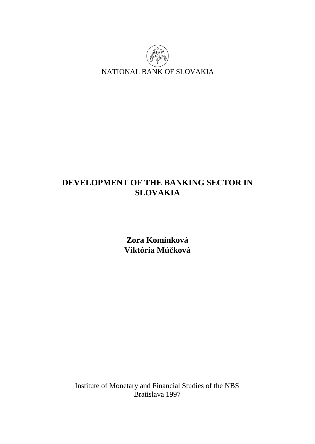

# **DEVELOPMENT OF THE BANKING SECTOR IN SLOVAKIA**

**Zora Komínková Viktória Múčková** 

Institute of Monetary and Financial Studies of the NBS Bratislava 1997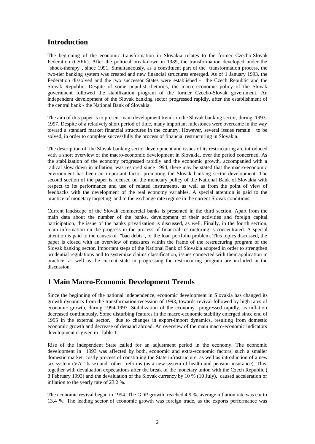## **Introduction**

The beginning of the economic transformation in Slovakia relates to the former Czecho-Slovak Federation (CSFR). After the political break-down in 1989, the transformation developed under the "shock-therapy", since 1991. Simultaneously, as a constituent part of the transformation process, the two-tier banking system was created and new financial structures emerged. As of 1 January 1993, the Federation dissolved and the two successor States were established - the Czech Republic and the Slovak Republic. Despite of some populist rhetorics, the macro-economic policy of the Slovak government followed the stabilization program of the former Czecho-Slovak government. An independent development of the Slovak banking sector progressed rapidly, after the establishment of the central bank - the National Bank of Slovakia.

The aim of this paper is to present main development trends in the Slovak banking sector, during 1993- 1997. Despite of a relatively short period of time, many important milestones were overcame in the way toward a standard market financial structures in the country. However, several issues remain to be solved, in order to complete successfully the process of financial restructuring in Slovakia.

The description of the Slovak banking sector development and issues of its restructuring are introduced with a short overview of the macro-economic development in Slovakia, over the period concerned. As the stabilization of the economy progressed rapidly and the economic growth, accompanied with a radical slow down in inflation, was restored since 1994, there may be stated that the macro-economic environment has been an important factor promoting the Slovak banking sector development. The second section of the paper is focused on the monetary policy of the National Bank of Slovakia with respect to its performance and use of related instruments, as well as from the point of view of feedbacks with the development of the real economy variables. A special attention is paid to the practice of monetary targeting and to the exchange rate regime in the current Slovak conditions.

Current landscape of the Slovak commercial banks is presented in the third section. Apart from the main data about the number of the banks, development of their activities and foreign capital participation, the issue of the banks privatization is discussed, as well. Finally, in the fourth section, main information on the progress in the process of financial restructuring is concentrated. A special attention is paid to the causes of "bad debts", or the loan portfolio problem. This topics discussed, the paper is closed with an overview of measures within the frame of the restructuring program of the Slovak banking sector. Important steps of the National Bank of Slovakia adopted in order to strengthen prudential regulations and to systemize claims classification, issues connected with their application in practice, as well as the current state in progressing the restructuring program are included in the discussion.

## **1 Main Macro-Economic Development Trends**

Since the beginning of the national independence, economic development in Slovakia has changed its growth dynamics from the transformation recession of 1993, towards revival followed by high rates of economic growth, during 1994-1997. Stabilization of the economy progressed rapidly, as inflation decreased continuously. Some disturbing features in the macro-economic stability emerged since end of 1995 in the external sector, due to changes in export-import dynamics, resulting from domestic economic growth and decrease of demand abroad. An overview of the main macro-economic indicators development is given in Table 1.

Rise of the independent State called for an adjustment period in the economy. The economic development in 1993 was affected by both, economic and extra-economic factors, such a smaller domestic market, costly process of constituing the State infrastructure, as well as introduction of a new tax system (VAT base) and other reforms (as a new system of health and pension insurance). This, together with devaluation expectations after the break of the monetary union with the Czech Republic ( 8 February 1993) and the devaluation of the Slovak currency by 10 % (10 July), caused acceleration of inflation to the yearly rate of 23.2 %.

The economic revival began in 1994. The GDP growth reached 4.9 %, average inflation rate was cut to 13.4 %. The leading sector of economic growth was foreign trade, as the exports performance was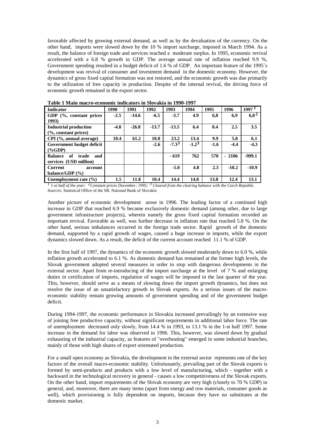favorable affected by growing external demand, as well as by the devaluation of the currency. On the other hand, imports were slowed down by the 10 % import surcharge, imposed in March 1994. As a result, the balance of foreign trade and services reached a moderate surplus. In 1995, economic revival accelerated with a 6.8 % growth in GDP. The average annual rate of inflation reached 9.9 %, Government spending resulted in a budget deficit of 1.6 % of GDP. An important feature of the 1995´s development was revival of consumer and investment demand in the domestic economy. However, the dynamics of gross fixed capital formation was not restored, and the economic growth was due primarily to the utilization of free capacity in production. Despite of the internal revival, the driving force of economic growth remained in the export sector.

| <b>Indicator</b>                     | 1990   | 1991    | 1992    | 1993       | 1994       | 1995   | 1996    | 1997 <sup>1</sup> |
|--------------------------------------|--------|---------|---------|------------|------------|--------|---------|-------------------|
| GDP (%, constant prices              | $-2.5$ | $-14.6$ | $-6.5$  | $-3.7$     | 4.9        | 6.8    | 6,9     | $6.0^{2}$         |
| 1993)                                |        |         |         |            |            |        |         |                   |
| <b>Industrial production</b>         | $-4.8$ | $-26.8$ | $-13.7$ | $-13.5$    | 6.4        | 8.4    | 2.5     | 3.5               |
| $(%$ , constant prices)              |        |         |         |            |            |        |         |                   |
| CPI (%, annual average)              | 10.4   | 61.2    | 10.0    | 23.2       | 13.4       | 9.9    | 5.8     | 6.1               |
| Government budget deficit            |        |         | $-2.6$  | $-7.3^{3}$ | $-1.2^{3}$ | $-1.6$ | $-4.4$  | $-4,3$            |
| $(\%GDP)$                            |        |         |         |            |            |        |         |                   |
| of<br><b>Balance</b><br>and<br>trade |        |         |         | $-619$     | 762        | 570    | $-2106$ | $-999.1$          |
| services (USD million)               |        |         |         |            |            |        |         |                   |
| <b>Current</b><br>account            |        |         |         | $-5.0$     | 4.8        | 2.3    | $-10.2$ | $-10.9$           |
| balance/GDP $(%$                     |        |         |         |            |            |        |         |                   |
| Unemployment rate $(\% )$            | 1.5    | 11.8    | 10.4    | 14.4       | 14.8       | 13.8   | 12.4    | 13.1              |

**Table 1 Main macro-economic indicators in Slovakia in 1990-1997** 

*1 1-st half of the year; 2Constant prices December; 1995; 3 Cleared from the clearing balance with the Czech Republic. Sources*: Statistical Office of the SR, National Bank of Slovakia

Another picture of economic development arose in 1996. The leading factor of a continued high increase in GDP that reached 6.9 % became exclusively domestic demand (among other, due to large government infrastructure projects), wherein namely the gross fixed capital formation recorded an important revival. Favorable as well, was further decrease in inflation rate that reached 5.8 %. On the other hand, serious imbalances occurred in the foreign trade sector. Rapid growth of the domestic demand, supported by a rapid growth of wages, caused a huge increase in imports, while the export dynamics slowed down. As a result, the deficit of the current account reached 11.1 % of GDP.

In the first half of 1997, the dynamics of the economic growth slowed moderately down to 6.0 %, while inflation growth accelerated to 6.1 %. As domestic demand has remained at the former high levels, the Slovak government adopted several measures in order to stop with dangerous developments in the external sector. Apart from re-introducing of the import surcharge at the level of 7 % and enlarging duties in certification of imports, regulation of wages will be imposed in the last quarter of the year. This, however, should serve as a means of slowing down the import growth dynamics, but does not resolve the issue of an unsatisfactory growth in Slovak exports. As a serious issues of the macroeconomic stability remain growing amounts of government spending and of the government budget deficit.

During 1994-1997, the economic performance in Slovakia increased prevailingly by an extensive way of joining free productive capacity, without significant requirements in additional labor force. The rate of unemployment decreased only slowly, from 14.4 % in 1993, to 13.1 % in the 1-st half 1997. Some increase in the demand for labor was observed in 1996. This, however, was slowed down by gradual exhausting of the industrial capacity, as features of "overheating" emerged in some industrial branches, mainly of those with high shares of export orientated production.

For a small open economy as Slovakia, the development in the external sector represents one of the key factors of the overall macro-economic stability. Unfortunately, prevailing part of the Slovak exports is formed by semi-products and products with a low level of manufacturing, which - together with a backward in the technological recovery in general - causes a low competitiveness of the Slovak exports. On the other hand, import requirements of the Slovak economy are very high (closely to 70 % GDP) in general, and, moreover, there are many items (apart from energy and row materials, consumer goods as well), which provisioning is fully dependent on imports, because they have no substitutes at the domestic market.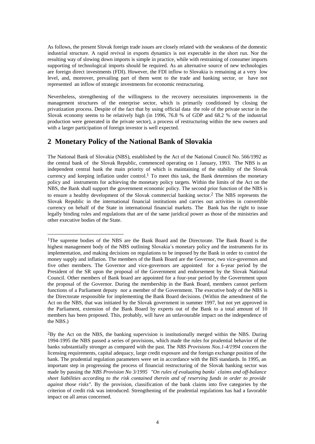As follows, the present Slovak foreign trade issues are closely related with the weakness of the domestic industrial structure. A rapid revival in exports dynamics is not expectable in the short run. Nor the resulting way of slowing down imports is simple in practice, while with restraining of consumer imports supporting of technological imports should be required. As an alternative source of new technologies are foreign direct investments (FDI). However, the FDI inflow to Slovakia is remaining at a very low level, and, moreover, prevailing part of them went to the trade and banking sector, or have not represented an inflow of strategic investments for economic restructuring.

Nevertheless, strengthening of the willingness to the recovery necessitates improvements in the management structures of the enterprise sector, which is primarily conditioned by closing the privatization process. Despite of the fact that by using official data the role of the private sector in the Slovak economy seems to be relatively high (in 1996, 76.8 % of GDP and 68.2 % of the industrial production were generated in the private sector), a process of restructuring within the new owners and with a larger participation of foreign investor is well expected.

## **2 Monetary Policy of the National Bank of Slovakia**

l

The National Bank of Slovakia (NBS), established by the Act of the National Council No. 566/1992 as the central bank of the Slovak Republic, commenced operating on 1 January, 1993. The NBS is an independent central bank the main priority of which is maintaining of the stability of the Slovak currency and keeping inflation under control.<sup>1</sup> To meet this task, the Bank determines the monetary policy and instruments for achieving the monetary policy targets. Within the limits of the Act on the NBS, the Bank shall support the government economic policy. The second prior function of the NBS is to ensure a healthy development of the Slovak commercial banking sector.2 The NBS represents the Slovak Republic in the international financial institutions and carries out activities in convertible currency on behalf of the State in international financial markets. The Bank has the right to issue legally binding rules and regulations that are of the same juridical power as those of the ministries and other executive bodies of the State.

<sup>1</sup>The supreme bodies of the NBS are the Bank Board and the Directorate. The Bank Board is the highest management body of the NBS outlining Slovakia´s monetary policy and the instruments for its implementation, and making decisions on regulations to be imposed by the Bank in order to control the money supply and inflation. The members of the Bank Board are the Governor, two vice-governors and five other members. The Governor and vice-governors are appointed for a 6-year period by the President of the SR upon the proposal of the Government and endorsement by the Slovak National Council. Other members of Bank board are appointed for a four-year period by the Government upon the proposal of the Governor. During the membership in the Bank Board, members cannot perform functions of a Parliament deputy nor a member of the Government. The executive body of the NBS is the Directorate responsible for implementing the Bank Board decisions. (Within the amendment of the Act on the NBS, that was initiated by the Slovak government in summer 1997, but not yet approved in the Parliament, extension of the Bank Board by experts out of the Bank to a total amount of 10 members has been proposed. This, probably, will have an unfavourable impact on the independence of the NBS.)

<sup>2</sup>By the Act on the NBS, the banking supervision is institutionally merged within the NBS. During 1994-1995 the NBS passed a series of provisions, which made the rules for prudential behavior of the banks substantially stronger as compared with the past. The *NBS Provisions Nos.1-4/1994* concern the licensing requirements, capital adequacy, large credit exposure and the foreign exchange position of the bank. The prudential regulation parameters were set in accordance with the BIS standards. In 1995, an important step in progressing the process of financial restructuring of the Slovak banking sector was made by passing the *NBS Provision No 3/1995 "On rules of evaluating banks¢ claims and off-balance sheet liabilities according to the risk contained therein and of reserving funds in order to provide against those risks".* By the provision, classification of the bank claims into five categories by the criterion of credit risk was introduced. Strengthening of the prudential regulations has had a favorable impact on all areas concerned.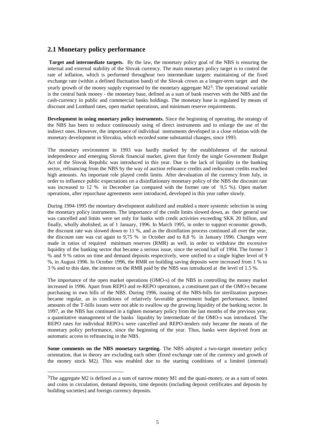### **2.1 Monetary policy performance**

 **Target and intermediate targets.** By the law, the monetary policy goal of the NBS is ensuring the internal and external stability of the Slovak currency. The main monetary policy target is to control the rate of inflation, which is performed throughout two intermediate targets: maintaining of the fixed exchange rate (within a defined fluctuation band) of the Slovak crown as a longer-term target and the yearly growth of the money supply expressed by the monetary aggregate M2<sup>3</sup>. The operational variable is the central bank money - the monetary base, defined as a sum of bank reserves with the NBS and the cash-currency in public and commercial banks holdings. The monetary base is regulated by means of discount and Lombard rates, open market operations, and minimum reserve requirements.

**Development in using monetary policy instruments.** Since the beginning of operating, the strategy of the NBS has been to reduce continuously using of direct instruments and to enlarge the use of the indirect ones. However, the importance of individual instruments developed in a close relation with the monetary development in Slovakia, which recorded some substantial changes, since 1993.

The monetary environment in 1993 was hardly marked by the establishment of the national independence and emerging Slovak financial market, given that firstly the single Government Budget Act of the Slovak Republic was introduced in this year. Due to the lack of liquidity in the banking sector, refinancing from the NBS by the way of auction refinance credits and rediscount credits reached high amounts. An important role played credit limits. After devaluation of the currency from July, in order to influence public expectations on a disinflationary monetary policy of the NBS the discount rate was increased to 12 % in December (as compared with the former rate of 9,5 %). Open market operations, after repurchase agreements were introduced, developed in this year rather slowly.

During 1994-1995 the monetary development stabilized and enabled a more systemic selection in using the monetary policy instruments. The importance of the credit limits slowed down, as their general use was cancelled and limits were set only for banks with credit activities exceeding SKK 20 billion, and finally, wholly abolished, as of 1 January, 1996. In March 1995, in order to support economic growth, the discount rate was slowed down to 11 %, and as the disinflation process continued all over the year, the discount rate was cut again to 9,75 % in October and to 8,8 % in January 1996. Changes were made in ratios of required minimum reserves (RMR) as well, in order to withdraw the excessive liquidity of the banking sector that became a serious issue, since the second half of 1994. The former 3 % and 9 % ratios on time and demand deposits respectively, were unified to a single higher level of 9 %, in August 1996. In October 1996, the RMR on building saving deposits were increased from 1 % to 3 % and to this date, the interest on the RMR paid by the NBS was introduced at the level of 1.5 %.

The importance of the open market operations (OMO-s) of the NBS in controlling the money market increased in 1996. Apart from REPO and re-REPO operations, a constituent part of the OMO-s became purchasing in own bills of the NBS. During 1996, issuing of the NBS-bills for sterilization purposes became regular, as in conditions of relatively favorable government budget performance, limited amounts of the T-bills issues were not able to swallow up the growing liquidity of the banking sector. In 1997, as the NBS has continued in a tighten monetary policy from the last months of the previous year, a quantitative management of the banks´ liquidity by intermediate of the OMO-s was introduced. The REPO rates for individual REPO-s were cancelled and REPO-tenders only became the means of the monetary policy performance, since the beginning of the year. Thus, banks were deprived from an automatic access to refinancing in the NBS.

**Some comments on the NBS monetary targeting.** The NBS adopted a two-target monetary policy orientation, that in theory are excluding each other (fixed exchange rate of the currency and growth of the money stock M2*)*. This was enabled due to the starting conditions of a limited (internal)

l

 $3$ The aggregate M2 is defined as a sum of narrow money M1 and the quasi-money, or as a sum of notes and coins in circulation, demand deposits, time deposits (including deposit certificates and deposits by building societies) and foreign currency deposits.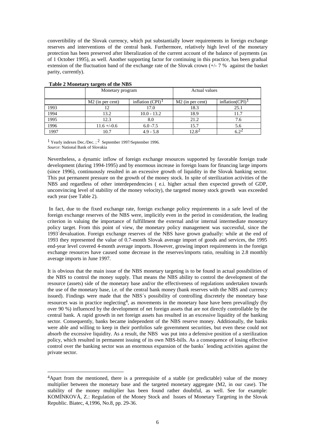convertibility of the Slovak currency, which put substantially lower requirements in foreign exchange reserves and interventions of the central bank. Furthermore, relatively high level of the monetary protection has been preserved after liberalization of the current account of the balance of payments (as of 1 October 1995), as well. Another supporting factor for continuing in this practice, has been gradual extension of the fluctuation band of the exchange rate of the Slovak crown  $(+/- 7 %$  against the basket parity, currently).

|      | Monetary program             |                     | <b>Actual values</b>         |                                 |  |
|------|------------------------------|---------------------|------------------------------|---------------------------------|--|
|      | M <sub>2</sub> (in per cent) | inflation $(CPI)^1$ | M <sub>2</sub> (in per cent) | inflation( $CPI$ ) <sup>1</sup> |  |
| 1993 |                              | 17.0                | 18.3                         | 25.1                            |  |
| 1994 | 13.2                         | $10.0 - 13.2$       | 18.9                         | 11.7                            |  |
| 1995 | 12.3                         | 8.0                 | 21.2                         | 7.6                             |  |
| 1996 | $11.6 + -0.6$                | $6.0 - 7.5$         | 15.7                         | 5.6                             |  |
| 1997 | 10.7                         | $4.9 - 5.8$         | 12 R 4                       |                                 |  |

#### **Table 2 Monetary targets of the NBS**

l

1 Yearly indexes Dec./Dec. ; 2 September 1997/September 1996. *Source*: National Bank of Slovakia

Nevertheless, a dynamic inflow of foreign exchange resources supported by favorable foreign trade development (during 1994-1995) and by enormous increase in foreign loans for financing large imports (since 1996), continuously resulted in an excessive growth of liquidity in the Slovak banking sector. This put permanent pressure on the growth of the money stock. In spite of sterilization activities of the NBS and regardless of other interdependencies ( e.i. higher actual then expected growth of GDP, unconvincing level of stability of the money velocity), the targeted money stock growth was exceeded each year (see Table 2).

In fact, due to the fixed exchange rate, foreign exchange policy requirements in a safe level of the foreign exchange reserves of the NBS were, implicitly even in the period in consideration, the leading criterion in valuing the importance of fulfillment the external and/or internal intermediate monetary policy target. From this point of view, the monetary policy management was successful, since the 1993´devaluation. Foreign exchange reserves of the NBS have grown gradually: while at the end of 1993 they represented the value of 0.7-month Slovak average import of goods and services, the 1995 end-year level covered 4-month average imports. However, growing import requirements in the foreign exchange resources have caused some decrease in the reserves/imports ratio, resulting in 2.8 monthly average imports in June 1997.

It is obvious that the main issue of the NBS monetary targeting is to be found in actual possibilities of the NBS to control the money supply. That means the NBS ability to control the development of the resource (assets) side of the monetary base and/or the effectiveness of regulations undertaken towards the use of the monetary base, i.e. of the central bank money (bank reserves with the NBS and currency issued). Findings were made that the NBS´s possibility of controlling discretely the monetary base resources was in practice neglecting<sup>4</sup>, as movements in the monetary base have been prevailingly (by over 90 %) influenced by the development of net foreign assets that are not directly controllable by the central bank. A rapid growth in net foreign assets has resulted in an excessive liquidity of the banking sector. Consequently, banks became independent of the NBS reserve money. Additionally, the banks were able and willing to keep in their portfolios safe government securities, but even these could not absorb the excessive liquidity. As a result, the NBS was put into a defensive position of a sterilization policy, which resulted in permanent issuing of its own NBS-bills. As a consequence of losing effective control over the banking sector was an enormous expansion of the banks´ lending activities against the private sector.

<sup>4</sup>Apart from the mentioned, there is a prerequisite of a stable (or predictable) value of the money multiplier between the monetary base and the targeted monetary aggregate (M2, in our case). The stability of the money multiplier has been found rather doubtful, as well. See for example: KOMÍNKOVÁ, Z.: Regulation of the Money Stock and Issues of Monetary Targeting in the Slovak Republic. Biatec, 4,1996, No.8, pp. 29-36.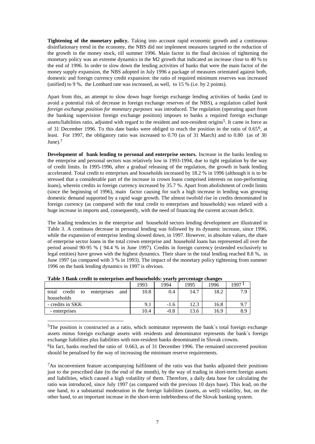**Tightening of the monetary policy.** Taking into account rapid economic growth and a continuous disinflationary trend in the economy, the NBS did not implement measures targeted to the reduction of the growth in the money stock, till summer 1996. Main factor in the final decision of tightening the monetary policy was an extreme dynamics in the M2 growth that indicated an increase close to 40 % to the end of 1996. In order to slow down the lending activities of banks that were the main factor of the money supply expansion, the NBS adopted in July 1996 a package of measures orientated against both, domestic and foreign currency credit expansion: the ratio of required minimum reserves was increased (unified) to 9 %, the Lombard rate was increased, as well, to 15 % (i.e. by 2 points).

Apart from this, an attempt to slow down huge foreign exchange lending activities of banks (and to avoid a potential risk of decrease in foreign exchange reserves of the NBS), a regulation called *bank foreign exchange position for monetary purposes* was introduced. The regulation (operating apart from the banking supervision foreign exchange position) imposes to banks a required foreign exchange assets/liabilities ratio, adjusted with regard to the resident and non-resident origins5. It came in force as of 31 December 1996. To this date banks were obliged to reach the position in the ratio of  $0.65<sup>6</sup>$ , at least. For 1997, the obligatory ratio was increased to 0.70 (as of 31 March) and to 0.80 (as of 30 June).7

**Development of bank lending to personal and enterprise sectors.** Increase in the banks lending to the enterprise and personal sectors was relatively low in 1993-1994, due to tight regulation by the way of credit limits. In 1995-1996, after a gradual releasing of the regulation, the growth in bank lending accelerated. Total credit to enterprises and households increased by 18.2 % in 1996 (although it is to be stressed that a considerable part of the increase in crown loans comprised interests on non-performing loans), wherein credits in foreign currency increased by 35.7 %. Apart from abolishment of credit limits (since the beginning of 1996), main factor causing for such a high increase in lending was growing domestic demand supported by a rapid wage growth. The almost twofold rise in credits denominated in foreign currency (as compared with the total credit to enterprises and households) was related with a huge increase in imports and, consequently, with the need of financing the current account deficit.

The leading tendencies in the enterprise and household sectors lending development are illustrated in Table 3. A continuos decrease in personal lending was followed by its dynamic increase, since 1996, while the expansion of enterprise lending slowed down, in 1997. However, in absolute values, the share of enterprise sector loans in the total crown enterprise and household loans has represented all over the period around 90-95 % ( 94.4 % in June 1997). Credits in foreign currency (extended exclusively to legal entities) have grown with the highest dynamics. Their share in the total lending reached 8.8 %, in June 1997 (as compared with 3 % in 1993). The impact of the monetary policy tightening from summer 1996 on the bank lending dynamics in 1997 is obvious.

|                                             | 1993 | 1994   | 1995 | 1996 | 1997 I |
|---------------------------------------------|------|--------|------|------|--------|
| credit<br>total<br>and<br>enterprises<br>to | 10.8 | 0.4    | 14.7 | 18.2 | 7.9    |
| households                                  |      |        |      |      |        |
| - credits in SKK                            | 9.1  | $-1.6$ | 12.3 | 16.8 | 9.7    |
| - enterprises                               | 10.4 | $-0.8$ | 13.6 | 16.9 | 8.9    |
|                                             |      |        |      |      |        |

l

5The position is constructed as a ratio, which nominator represents the bank´s total foreign exchange assets minus foreign exchange assets with residents and denominator represents the bank´s foreign exchange liabilities plus liabilities with non-resident banks denominated in Slovak crowns.

<sup>6</sup>In fact, banks reached the ratio of 0.663, as of 31 December 1996. The remained uncovered position should be penalised by the way of increasing the minimum reserve requirements.

7An inconvenient feature accompanying fulfilment of the ratio was that banks adjusted their positions just to the prescribed date (to the end of the month), by the way of trading in short-term foreign assets and liabilities, which caused a high volatility of them. Therefore, a daily data base for calculating the ratio was introduced, since July 1997 (as compared with the previous 10 days base). This lead, on the one hand, to a substantial moderation in the foreign liabilities (assets, as well) volatility, but, on the other hand, to an important increase in the short-term indebtedness of the Slovak banking system.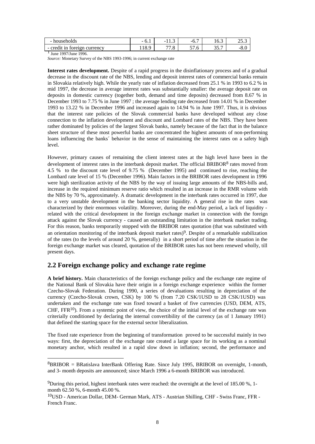| - households                       | $\overline{\phantom{a}}$<br>$\mathbf{U} \cdot \mathbf{I}$ | $\sqrt{2}$<br>$\sim$<br>11.J                  | -<br>$-0.$     | $\overline{\phantom{a}}$<br>10.J | n F<br>ن د ب |
|------------------------------------|-----------------------------------------------------------|-----------------------------------------------|----------------|----------------------------------|--------------|
| - credit<br>foreign currency<br>1n | 118.9                                                     | $\overline{\phantom{a}}$<br>$\overline{1}$ .0 | $ -$<br>J I .U | $2 - 7$<br>JJ . 1                | $-0.6$       |

<sup>1</sup> June 1997/June 1996.

l

*Source:* Monetary Survey of the NBS 1993-1996; in current exchange rate

**Interest rates development.** Despite of a rapid progress in the disinflationary process and of a gradual decrease in the discount rate of the NBS, lending and deposit interest rates of commercial banks remain in Slovakia relatively high. While the yearly rate of inflation decreased from 25.1 % in 1993 to 6.2 % in mid 1997, the decrease in average interest rates was substantially smaller: the average deposit rate on deposits in domestic currency (together both, demand and time deposits) decreased from 8.67 % in December 1993 to 7.75 % in June 1997 ; the average lending rate decreased from 14.01 % in December 1993 to 13.22 % in December 1996 and increased again to 14.94 % in June 1997. Thus, it is obvious that the interest rate policies of the Slovak commercial banks have developed without any close connection to the inflation development and discount and Lombard rates of the NBS. They have been rather dominated by policies of the largest Slovak banks, namely because of the fact that in the balance sheet structure of these most powerful banks are concentrated the highest amounts of non-performing loans influencing the banks' behavior in the sense of maintaining the interest rates on a safety high level.

However, primary causes of remaining the client interest rates at the high level have been in the development of interest rates in the interbank deposit market. The official BRIBOR<sup>8</sup> rates moved from 4.5 % to the discount rate level of 9.75 % (December 1995) and continued to rise, reaching the Lombard rate level of 15 % (December 1996). Main factors in the BRIBOR rates development in 1996 were high sterilization activity of the NBS by the way of issuing large amounts of the NBS-bills and, increase in the required minimum reserve ratio which resulted in an increase in the RMR volume with the NBS by 70 %, approximately. A dramatic development in the interbank rates occurred in 1997, due to a very unstable development in the banking sector liquidity. A general rise in the rates was characterized by their enormous volatility. Moreover, during the end-May period, a lack of liquidity related with the critical development in the foreign exchange market in connection with the foreign attack against the Slovak currency - caused an outstanding limitation in the interbank market trading. For this reason, banks temporarily stopped with the BRIBOR rates quotation (that was substituted with an orientation monitoring of the interbank deposit market rates)<sup>9</sup>. Despite of a remarkable stabilization of the rates (to the levels of around 20 %, generally) in a short period of time after the situation in the foreign exchange market was cleared, quotation of the BRIBOR rates has not been renewed wholly, till present days.

### **2.2 Foreign exchange policy and exchange rate regime**

**A brief history.** Main characteristics of the foreign exchange policy and the exchange rate regime of the National Bank of Slovakia have their origin in a foreign exchange experience within the former Czecho-Slovak Federation. During 1990, a series of devaluations resulting in depreciation of the currency (Czecho-Slovak crown, CSK) by 100 % (from 7.20 CSK/1USD to 28 CSK/1USD) was undertaken and the exchange rate was fixed toward a basket of five currencies (USD, DEM, ATS,  $CHF$ , FFR<sup>10</sup>). From a systemic point of view, the choice of the initial level of the exchange rate was criterially conditioned by declaring the internal convertibility of the currency (as of 1 January 1991) that defined the starting space for the external sector liberalization.

The fixed rate experience from the beginning of transformation proved to be successful mainly in two ways: first, the depreciation of the exchange rate created a large space for its working as a nominal monetary anchor, which resulted in a rapid slow down in inflation; second, the performance and

<sup>8</sup>BRIBOR = BRatislava InterBank Offering Rate. Since July 1995, BRIBOR on overnight, 1-month, and 3- month deposits are announced; since March 1996 a 6-month BRIBOR was introduced.

<sup>9</sup>During this period, highest interbank rates were reached: the overnight at the level of 185.00 %, 1 month 62.50 %, 6-month 45.00 %.

<sup>10</sup>USD - American Dollar, DEM- German Mark, ATS - Austrian Shilling, CHF - Swiss Franc, FFR - French Franc.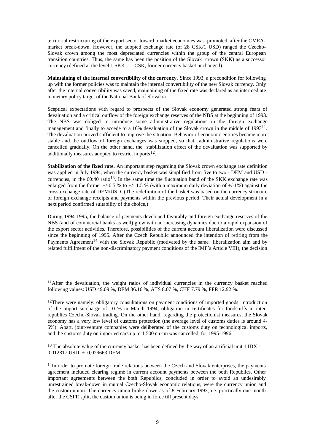territorial restructuring of the export sector toward market economies was promoted, after the CMEAmarket break-down. However, the adopted exchange rate (of 28 CSK/1 USD) ranged the Czecho-Slovak crown among the most depreciated currencies within the group of the central European transition countries. Thus, the same has been the position of the Slovak crown (SKK) as a successor currency (defined at the level 1 SKK = 1 CSK, former currency basket unchanged).

**Maintaining of the internal convertibility of the currency.** Since 1993, a precondition for following up with the former policies was to maintain the internal convertibility of the new Slovak currency. Only after the internal convertibility was saved, maintaining of the fixed rate was declared as an intermediate monetary policy target of the National Bank of Slovakia.

Sceptical expectations with regard to prospects of the Slovak economy generated strong fears of devaluation and a critical outflow of the foreign exchange reserves of the NBS at the beginning of 1993. The NBS was obliged to introduce some administrative regulations in the foreign exchange management and finally to accede to a 10% devaluation of the Slovak crown in the middle of 1993<sup>11</sup>. The devaluation proved sufficient to improve the situation. Behavior of economic entities became more stable and the outflow of foreign exchanges was stopped, so that administrative regulations were cancelled gradually. On the other hand, the stabilization effect of the devaluation was supported by additionally measures adopted to restrict imports<sup>12</sup>.

**Stabilization of the fixed rate.** An important step regarding the Slovak crown exchange rate definition was applied in July 1994, when the currency basket was simplified from five to two - DEM and USD currencies, in the  $60:40$  ratio<sup>13</sup>. In the same time the fluctuation band of the SKK exchange rate was enlarged from the former  $+/-0.5$  % to  $+/-1.5$  % (with a maximum daily deviation of  $+/-1$ %) against the cross-exchange rate of DEM/USD. (The redefinition of the basket was based on the currency structure of foreign exchange receipts and payments within the previous period. Their actual development in a next period confirmed suitability of the choice.)

During 1994-1995, the balance of payments developed favorably and foreign exchange reserves of the NBS (and of commercial banks as well) grew with an increasing dynamics due to a rapid expansion of the export sector activities. Therefore, possibilities of the current account liberalization were discussed since the beginning of 1995. After the Czech Republic announced the intention of retiring from the Payments Agreement<sup>14</sup> with the Slovak Republic (motivated by the same liberalization aim and by related fulfillment of the non-discriminatory payment conditions of the IMF´s Article VIII), the decision

l

 $11$ After the devaluation, the weight ratios of individual currencies in the currency basket reached following values: USD 49.09 %, DEM 36.16 %, ATS 8.07 %, CHF 7.79 %, FFR 12.92 %.

<sup>&</sup>lt;sup>12</sup>There were namely: obligatory consultations on payment conditions of imported goods, introduction of the import surcharge of 10 % in March 1994, obligation in certificates for foodstuffs in interrepublics Czecho-Slovak trading. On the other hand, regarding the protectionist measures, the Slovak economy has a very low level of customs protection (the average level of customs duties is around 4- 5%). Apart, joint-venture companies were deliberated of the customs duty on technological imports, and the customs duty on imported cars up to 1,500 cu cm was cancelled, for 1995-1996.

<sup>&</sup>lt;sup>13</sup> The absolute value of the currency basket has been defined by the way of an artificial unit 1 IDX =  $0.012817$  USD + 0.029663 DEM.

<sup>&</sup>lt;sup>14</sup>In order to promote foreign trade relations between the Czech and Slovak enterprises, the payments agreement included clearing regime in current account payments between the both Republics. Other important agreements between the both Republics, concluded in order to avoid an undesirably unrestrained break-down in mutual Czecho-Slovak economic relations, were the currency union and the custom union. The currency union broke down as of 8 February 1993, i.e. practically one month after the CSFR split, the custom union is being in force till present days.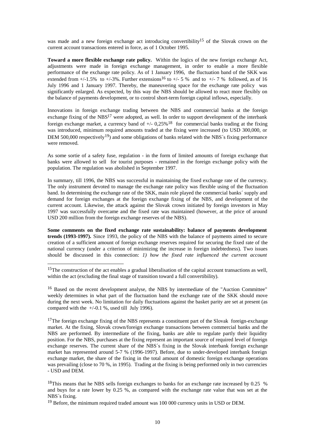was made and a new foreign exchange act introducing convertibility<sup>15</sup> of the Slovak crown on the current account transactions entered in force, as of 1 October 1995.

**Toward a more flexible exchange rate policy.** Within the logics of the new foreign exchange Act, adjustments were made in foreign exchange management, in order to enable a more flexible performance of the exchange rate policy. As of 1 January 1996, the fluctuation band of the SKK was extended from  $+/1.5\%$  to  $+/3\%$ . Further extensions<sup>16</sup> to  $+/5\%$  and to  $+/7\%$  followed, as of 16 July 1996 and 1 January 1997. Thereby, the maneuvering space for the exchange rate policy was significantly enlarged. As expected, by this way the NBS should be allowed to react more flexibly on the balance of payments development, or to control short-term foreign capital inflows, especially.

Innovations in foreign exchange trading between the NBS and commercial banks at the foreign exchange fixing of the  $NBS^{17}$  were adopted, as well. In order to support development of the interbank foreign exchange market, a currency band of  $+/- 0.25\%$ <sup>18</sup> for commercial banks trading at the fixing was introduced, minimum required amounts traded at the fixing were increased (to USD 300,000, or DEM 500,000 respectively<sup>19</sup>) and some obligations of banks related with the NBS $\hat{\ }$ s fixing performance were removed.

As some sortie of a safety fuse, regulation - in the form of limited amounts of foreign exchange that banks were allowed to sell for tourist purposes - remained in the foreign exchange policy with the population. The regulation was abolished in September 1997.

In summary, till 1996, the NBS was successful in maintaining the fixed exchange rate of the currency. The only instrument devoted to manage the exchange rate policy was flexible using of the fluctuation band. In determining the exchange rate of the SKK, main role played the commercial banks´ supply and demand for foreign exchanges at the foreign exchange fixing of the NBS, and development of the current account. Likewise, the attack against the Slovak crown initiated by foreign investors in May 1997 was successfully overcame and the fixed rate was maintained (however, at the price of around USD 200 million from the foreign exchange reserves of the NBS).

**Some comments on the fixed exchange rate sustainability: balance of payments development trends (1993-1997).** Since 1993, the policy of the NBS with the balance of payments aimed to secure creation of a sufficient amount of foreign exchange reserves required for securing the fixed rate of the national currency (under a criterion of minimizing the increase in foreign indebtedness). Two issues should be discussed in this connection: *1) how the fixed rate influenced the current account* 

l

<sup>16</sup> Based on the recent development analyse, the NBS by intermediate of the "Auction Committee" weekly determines in what part of the fluctuation band the exchange rate of the SKK should move during the next week. No limitation for daily fluctuations against the basket parity are set at present (as compared with the  $+/-0.1$  %, used till July 1996).

 $17$ The foreign exchange fixing of the NBS represents a constituent part of the Slovak foreign-exchange market. At the fixing, Slovak crown/foreign exchange transactions between commercial banks and the NBS are performed. By intermediate of the fixing, banks are able to regulate partly their liquidity position. For the NBS, purchases at the fixing represent an important source of required level of foreign exchange reserves. The current share of the NBS's fixing in the Slovak interbank foreign exchange market has represented around 5-7 % (1996-1997). Before, due to under-developed interbank foreign exchange market, the share of the fixing in the total amount of domestic foreign exchange operations was prevailing (close to 70 %, in 1995). Trading at the fixing is being performed only in two currencies - USD and DEM.

<sup>18</sup>This means that he NBS sells foreign exchanges to banks for an exchange rate increased by 0.25 % and buys for a rate lower by 0.25 %, as compared with the exchange rate value that was set at the NBS´s fixing.

<sup>19</sup> Before, the minimum required traded amount was 100 000 currency units in USD or DEM.

<sup>&</sup>lt;sup>15</sup>The construction of the act enables a gradual liberalisation of the capital account transactions as well, within the act (excluding the final stage of transition toward a full convertibility).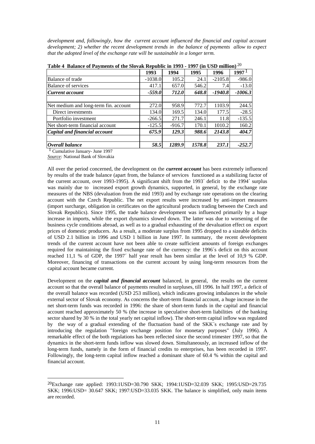*development and, followingly, how the current account influenced the financial and capital account development; 2) whether the recent development trends in the balance of payments allow to expect that the adopted level of the exchange rate will be sustainable in a longer term.* 

| Table + Dalance of Favincing of the grovan inepublic in 1990 - 1997 (in CoD minion) |           |          |        |           |                   |  |  |  |  |
|-------------------------------------------------------------------------------------|-----------|----------|--------|-----------|-------------------|--|--|--|--|
|                                                                                     | 1993      | 1994     | 1995   | 1996      | 1997 <sup>1</sup> |  |  |  |  |
| Balance of trade                                                                    | $-1038.0$ | 105.2    | 24.1   | $-2105.8$ | $-986.0$          |  |  |  |  |
| <b>Balance of services</b>                                                          | 417.1     | 657.0    | 546.2  | 7.4       | $-13.0$           |  |  |  |  |
| Current account                                                                     | $-559.0$  | 712.0    | 648.8  | $-1940.8$ | $-1006.3$         |  |  |  |  |
|                                                                                     |           |          |        |           |                   |  |  |  |  |
| Net medium and long-term fin. account                                               | 272.0     | 958.9    | 772.7  | 1103.9    | 244.5             |  |  |  |  |
| Direct investments                                                                  | 134.0     | 169.5    | 134.0  | 177.5     | $-28.5$           |  |  |  |  |
| Portfolio investment                                                                | $-266.5$  | 271.7    | 246.1  | 11.8      | $-135.5$          |  |  |  |  |
| Net short-term financial account                                                    | $-125.5$  | $-916.7$ | 170.1  | 1010.2    | 160.2             |  |  |  |  |
| Capital and financial account                                                       | 675.9     | 129.3    | 988.6  | 2143.8    | 404.7             |  |  |  |  |
|                                                                                     |           |          |        |           |                   |  |  |  |  |
| Overall balance                                                                     | 58.5      | 1289.9   | 1578.8 | 237.1     | $-252.7$          |  |  |  |  |

**Table 4 Balance of Payments of the Slovak Republic in 1993 - 1997 (in USD million)** 20

1 Cumulative January- June 1997

l

*Source:* National Bank of Slovakia

All over the period concerned, the development on the *current account* has been extremely influenced by results of the trade balance (apart from, the balance of services functioned as a stabilizing factor of the current account, over 1993-1995). A significant shift from the 1993´ deficit to the 1994´ surplus was mainly due to increased export growth dynamics, supported, in general, by the exchange rate measures of the NBS (devaluation from the mid 1993) and by exchange rate operations on the clearing account with the Czech Republic. The net export results were increased by anti-import measures (import surcharge, obligation in certificates on the agricultural products trading between the Czech and Slovak Republics). Since 1995, the trade balance development was influenced primarily by a huge increase in imports, while the export dynamics slowed down. The latter was due to worsening of the business cycle conditions abroad, as well as to a gradual exhausting of the devaluation effect on export prices of domestic producers. As a result, a moderate surplus from 1995 dropped to a sizeable deficits of USD 2.1 billion in 1996 and USD 1 billion in June 1997. In summary, the recent development trends of the current account have not been able to create sufficient amounts of foreign exchanges required for maintaining the fixed exchange rate of the currency: the 1996´s deficit on this account reached 11,1 % of GDP, the 1997´ half year result has been similar at the level of 10,9 % GDP. Moreover, financing of transactions on the current account by using long-term resources from the capital account became current.

Development on the *capital and financial account* balanced, in general, the results on the current account so that the overall balance of payments resulted in surpluses, till 1996. In half 1997, a deficit of the overall balance was recorded (USD 253 million), which indicates growing imbalances in the whole external sector of Slovak economy. As concerns the short-term financial account, a huge increase in the net short-term funds was recorded in 1996: the share of short-term funds in the capital and financial account reached approximately 50 % (the increase in speculative short-term liabilities of the banking sector shared by 30 % in the total yearly net capital inflow). The short-term capital inflow was regulated by the way of a gradual extending of the fluctuation band of the SKK´s exchange rate and by introducing the regulation "foreign exchange position for monetary purposes" (July 1996). A remarkable effect of the both regulations has been reflected since the second trimester 1997, so that the dynamics in the short-term funds inflow was slowed down. Simultaneously, an increased inflow of the long-term funds, namely in the form of financial credits to enterprises, has been recorded in 1997. Followingly, the long-term capital inflow reached a dominant share of 60.4 % within the capital and financial account.

<sup>20</sup>Exchange rate applied: 1993:1USD=30.790 SKK; 1994:1USD=32.039 SKK; 1995:USD=29.735 SKK; 1996:USD= 30.647 SKK; 1997:USD=33.035 SKK. The balance is simplified, only main items are recorded.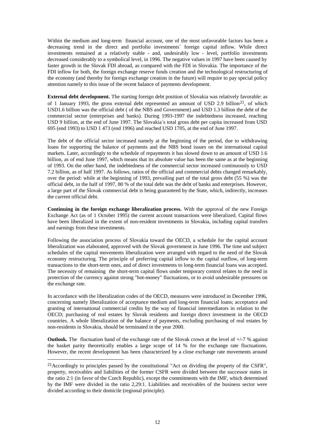Within the medium and long-term financial account, one of the most unfavorable factors has been a decreasing trend in the direct and portfolio investments´ foreign capital inflow. While direct investments remained at a relatively stable - and, undesirably low - level, portfolio investments decreased considerably to a symbolical level, in 1996. The negative values in 1997 have been caused by faster growth in the Slovak FDI abroad, as compared with the FDI in Slovakia. The importance of the FDI inflow for both, the foreign exchange reserve funds creation and the technological restructuring of the economy (and thereby for foreign exchange creation in the future) will require to pay special policy attention namely to this issue of the recent balance of payments development.

**External debt development.** The starting foreign debt position of Slovakia was relatively favorable: as of 1 January 1993, the gross external debt represented an amount of USD 2.9 billion<sup>21</sup>, of which USD1.6 billion was the official debt ( of the NBS and Government) and USD 1.3 billion the debt of the commercial sector (enterprises and banks). During 1993-1997 the indebtedness increased, reaching USD 9 billion, at the end of June 1997. The Slovakia´s total gross debt per capita increased from USD 695 (end 1993) to USD 1 473 (end 1996) and reached USD 1705, at the end of June 1997.

The debt of the official sector increased namely at the beginning of the period, due to withdrawing loans for supporting the balance of payments and the NBS bond issues on the international capital markets. Later, accordingly to the schedule of repayments it has slowed down to an amount of USD 1.6 billion, as of end June 1997, which means that its absolute value has been the same as at the beginning of 1993. On the other hand, the indebtedness of the commercial sector increased continuously to USD 7.2 billion, as of half 1997. As follows, ratios of the official and commercial debts changed remarkably, over the period: while at the beginning of 1993, prevailing part of the total gross debt (55 %) was the official debt, in the half of 1997, 80 % of the total debt was the debt of banks and enterprises. However, a large part of the Slovak commercial debt is being guaranteed by the State, which, indirectly, increases the current official debt.

**Continuing in the foreign exchange liberalization process.** With the approval of the new Foreign Exchange Act (as of 1 October 1995) the current account transactions were liberalized. Capital flows have been liberalized in the extent of non-resident investments in Slovakia, including capital transfers and earnings from these investments.

Following the association process of Slovakia toward the OECD, a schedule for the capital account liberalization was elaborated, approved with the Slovak government in June 1996. The time and subject schedules of the capital movements liberalization were arranged with regard to the need of the Slovak economy restructuring. The principle of preferring capital inflow to the capital outflow, of long-term transactions to the short-term ones, and of direct investments to long-term financial loans was accepted. The necessity of remaining the short-term capital flows under temporary control relates to the need in protection of the currency against strong "hot-money" fluctuations, or to avoid undesirable pressures on the exchange rate.

In accordance with the liberalization codes of the OECD, measures were introduced in December 1996, concerning namely liberalization of acceptance medium and long-term financial loans; acceptance and granting of international commercial credits by the way of financial intermediators in relation to the OECD; purchasing of real estates by Slovak residents and foreign direct investment in the OECD countries. A whole liberalization of the balance of payments, excluding purchasing of real estates by non-residents in Slovakia, should be terminated in the year 2000.

**Outlook.** The fluctuation band of the exchange rate of the Slovak crown at the level of  $+/-7$  % against the basket parity theoretically enables a large scope of 14 % for the exchange rate fluctuations. However, the recent development has been characterized by a close exchange rate movements around

l

<sup>&</sup>lt;sup>21</sup> Accordingly to principles passed by the constitutional "Act on dividing the property of the CSFR", property, receivables and liabilities of the former CSFR were divided between the successor states in the ratio 2:1 (in favor of the Czech Republic), except the commitments with the IMF, which determined by the IMF were divided in the ratio 2,29:1. Liabilities and receivables of the business sector were divided according to their domicile (regional principle).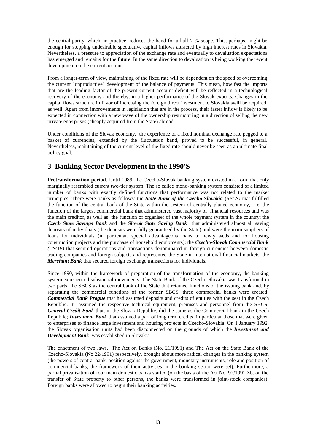the central parity, which, in practice, reduces the band for a half 7 % scope. This, perhaps, might be enough for stopping undesirable speculative capital inflows attracted by high interest rates in Slovakia. Nevertheless, a pressure to appreciation of the exchange rate and eventually to devaluation expectations has emerged and remains for the future. In the same direction to devaluation is being working the recent development on the current account.

From a longer-term of view, maintaining of the fixed rate will be dependent on the speed of overcoming the current "unproductive" development of the balance of payments. This mean, how fast the imports that are the leading factor of the present current account deficit will be reflected in a technological recovery of the economy and thereby, in a higher performance of the Slovak exports. Changes in the capital flows structure in favor of increasing the foreign direct investment to Slovakia swill be required, as well. Apart from improvements in legislation that are in the process, their faster inflow is likely to be expected in connection with a new wave of the ownership restructuring in a direction of selling the new private enterprises (cheaply acquired from the State) abroad.

Under conditions of the Slovak economy, the experience of a fixed nominal exchange rate pegged to a basket of currencies, extended by the fluctuation band, proved to be successful, in general. Nevertheless, maintaining of the current level of the fixed rate should never be seen as an ultimate final policy goal.

## **3 Banking Sector Development in the 1990'S**

**Pretransformation period.** Until 1989, the Czecho-Slovak banking system existed in a form that only marginally resembled current two-tier system. The so called mono-banking system consisted of a limited number of banks with exactly defined functions that performance was not related to the market principles. There were banks as follows: the *State Bank of the Czecho-Slovakia* (*SBCS)* that fulfilled the function of the central bank of the State within the system of centrally planed economy, i. e. the function of the largest commercial bank that administered vast majority of financial resources and was the main creditor, as well as the function of organiser of the whole payment system in the country; the *Czech State Savings Bank* and the *Slovak State Saving Bank* that administered almost all saving deposits of individuals (the deposits were fully guaranteed by the State) and were the main suppliers of loans for individuals (in particular, special advantageous loans to newly weds and for housing construction projects and the purchase of household equipments); the *Czecho-Slovak Commercial Bank (CSOB)* that secured operations and transactions denominated in foreign currencies between domestic trading companies and foreign subjects and represented the State in international financial markets; the *Merchant Bank* that secured foreign exchange transactions for individuals.

Since 1990, within the framework of preparation of the transformation of the economy, the banking system experienced substantial movements. The State Bank of the Czecho-Slovakia was transformed in two parts: the SBCS as the central bank of the State that retained functions of the issuing bank and, by separating the commercial functions of the former SBCS, three commercial banks were created: *Commercial Bank Prague* that had assumed deposits and credits of entities with the seat in the Czech Republic. It assumed the respective technical equipment, premises and personnel from the SBCS; *General Credit Bank* that, in the Slovak Republic, did the same as the Commercial bank in the Czech Republic; *Investment Bank* that assumed a part of long term credits, in particular those that were given to enterprises to finance large investment and housing projects in Czecho-Slovakia. On 1 January 1992, the Slovak organisation units had been disconnected on the grounds of which the *Investment and Development Bank* was established in Slovakia.

The enactment of two laws, The Act on Banks (No. 21/1991) and The Act on the State Bank of the Czecho-Slovakia (No.22/1991) respectively, brought about more radical changes in the banking system (the powers of central bank, position against the government, monetary instruments, role and position of commercial banks, the framework of their activities in the banking sector were set). Furthermore, a partial privatisation of four main domestic banks started (on the basis of the Act No. 92/1991 Zb. on the transfer of State property to other persons, the banks were transformed in joint-stock companies). Foreign banks were allowed to begin their banking activities.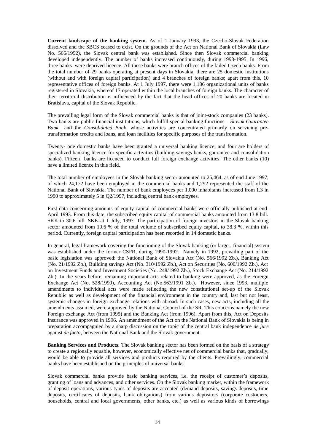**Current landscape of the banking system.** As of 1 January 1993, the Czecho-Slovak Federation dissolved and the SBCS ceased to exist. On the grounds of the Act on National Bank of Slovakia (Law No. 566/1992), the Slovak central bank was established. Since then Slovak commercial banking developed independently. The number of banks increased continuously, during 1993-1995. In 1996, three banks were deprived licence. All these banks were branch offices of the failed Czech banks. From the total number of 29 banks operating at present days in Slovakia, there are 25 domestic institutions (without and with foreign capital participation) and 4 branches of foreign banks; apart from this, 10 representative offices of foreign banks. At 1 July 1997, there were 1,186 organizational units of banks registered in Slovakia, whereof 17 operated within the local branches of foreign banks. The character of their territorial distribution is influenced by the fact that the head offices of 20 banks are located in Bratislava, capital of the Slovak Republic.

The prevailing legal form of the Slovak commercial banks is that of joint-stock companies (23 banks). Two banks are public financial institutions, which fulfill special banking functions - *Slovak Guarantee Bank* and the *Consolidated Bank*, whose activities are concentrated primarily on servicing pretransformation credits and loans, and loan facilities for specific purposes of the transfromation.

Twenty- one domestic banks have been granted a universal banking licence, and four are holders of specialized banking licence for specific activities (building savings banks, gaurantee and consolidation banks). Fifteen banks are licenced to conduct full foreign exchange activities. The other banks (10) have a limited licence in this field.

The total number of employees in the Slovak banking sector amounted to 25,464, as of end June 1997, of which 24,172 have been employed in the commercial banks and 1,292 represented the staff of the National Bank of Slovakia. The number of bank employees per 1,000 inhabitants increased from 1.3 in 1990 to approximately 5 in Q2/1997, including central bank employees.

First data concerning amounts of equity capital of commercial banks were officially published at end-April 1993. From this date, the subscribed equity capital of commercial banks amounted from 13.8 bill. SKK to 30.6 bill. SKK at 1 July, 1997. The participation of foreign investors in the Slovak banking sector amounted from 10.6 % of the total volume of subscribed equity capital, to 38.3 %, within this period. Currently, foreign capital participation has been recorded in 14 domestic banks.

In general, legal framework covering the functioning of the Slovak banking (or larger, financial) system was established under the former CSFR, during 1990-1992. Namely in 1992, prevailing part of the basic legislation was approved: the National Bank of Slovakia Act (No. 566/1992 Zb.), Banking Act (No. 21/1992 Zb.), Building savings Act (No. 310/1992 Zb.), Act on Securities (No. 600/1992 Zb.), Act on Investment Funds and Investment Societies (No. 248/1992 Zb.), Stock Exchange Act (No. 214/1992 Zb.). In the years before, remaining important acts related to banking were approved, as the Foreign Exchange Act (No. 528/1990), Accounting Act (No.563/1991 Zb.). However, since 1993, multiple amendments to individual acts were made reflecting the new constitutional set-up of the Slovak Republic as well as development of the financial environment in the country and, last but not least, systemic changes in foreign exchange relations with abroad. In such cases, new acts, including all the amendments assumed, were approved by the National Council of the SR. This concerns namely the new Foreign exchange Act (from 1995) and the Banking Act (from 1996). Apart from this, Act on Deposits Insurance was approved in 1996. An amendment of the Act on the National Bank of Slovakia is being in preparation accompagnied by a sharp discussion on the topic of the central bank independence *de jure*  against *de facto*, between the National Bank and the Slovak government.

**Banking Services and Products.** The Slovak banking sector has been formed on the basis of a strategy to create a regionally equable, however, economically effective net of commercial banks that, gradually, would be able to provide all services and products required by the clients. Prevailingly, commercial banks have been established on the principles of universal banks.

Slovak commercial banks provide basic banking services, i.e. the receipt of customer's deposits, granting of loans and advances, and other services. On the Slovak banking market, within the framework of deposit operations, various types of deposits are accepted (demand deposits, savings deposits, time deposits, certificates of deposits, bank obligations) from various depositors (corporate customers, households, central and local governments, other banks, etc.) as well as various kinds of borrowings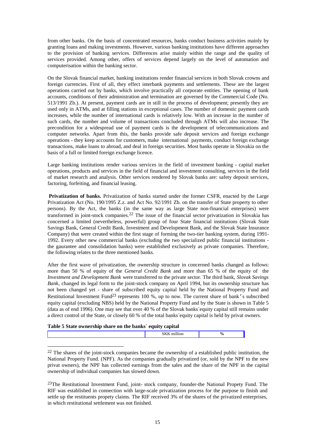from other banks. On the basis of concentrated resources, banks conduct business activities mainly by granting loans and making investments. However, various banking institutions have different approaches to the provision of banking services. Differences arise mainly within the range and the quality of services provided. Among other, offers of services depend largely on the level of automation and computerisation within the banking sector.

On the Slovak financial market, banking institutions render financial services in both Slovak crowns and foreign currencies. First of all, they effect interbank payments and settlements. These are the largest operations carried out by banks, which involve practically all corporate entities. The opening of bank accounts, conditions of their administration and termination are governed by the Commercial Code (No. 513/1991 Zb.). At present, payment cards are in still in the process of development; presently they are used only in ATMs, and at filling stations in exceptional cases. The number of domestic payment cards increases, while the number of international cards is relatively low. With an increase in the number of such cards, the number and volume of transactions concluded through ATMs will also increase. The precondition for a widespread use of payment cards is the development of telecommunications and computer networks. Apart from this, the banks provide safe deposit services and foreign exchange operations - they keep accounts for customers, make international payments, conduct foreign exchange transactions, make loans to abroad, and deal in foreign securities. Most banks operate in Slovakia on the basis of a full or limited foreign exchange licence.

Large banking institutions render various services in the field of investment banking - capital market operations, products and services in the field of financial and investment consulting, services in the field of market research and analysis. Other services rendered by Slovak banks are: safety deposit services, factoring, forfeiting, and financial leasing.

 **Privatization of banks.** Privatization of banks started under the former CSFR, enacted by the Large Privatization Act (No. 190/1995 Z.z. and Act No. 92/1991 Zb. on the transfer of State property to other persons). By the Act, the banks (in the same way as large State non-financial enterprises) were transformed in joint-stock companies.22 The issue of the financial sector privatization in Slovakia has concerned a limited (nevertheless, powerful) group of four State financial institutions (Slovak State Savings Bank, General Credit Bank, Investment and Development Bank, and the Slovak State Insurance Company) that were created within the first stage of forming the two-tier banking system, during 1991- 1992. Every other new commercial banks (excluding the two specialized public financial institutions the gaurantee and consolidation banks) were established exclusively as private companies. Therefore, the following relates to the three mentioned banks.

After the first wave of privatization, the ownership structure in concerned banks changed as follows: more than 50 % of equity of the *General Credit Bank* and more than 65 % of the equity of the *Investment and Development Bank* were transferred to the private sector. The third bank, *Slovak Savings Bank*, changed its legal form to the joint-stock company on April 1994, but its ownership structure has not been changed yet - share of subscribed equity capital held by the National Property Fund and Restitutional Investment Fund<sup>23</sup> represents 100 %, up to now. The current share of bank's subscribed equity capital (excluding NBS) held by the National Property Fund and by the State is shown in Table 5 (data as of end 1996). One may see that over 40 % of the Slovak banks´equity capital still remains under a direct control of the State, or closely 60 % of the total banks´equity capital is held by privat owners.

#### **Table 5 State ownership share on the banks´ equity capital**

l

|  | ч |
|--|---|
|  |   |

 $22$  The shares of the joint-stock companies became the ownership of a established public institution, the National Property Fund. (NPF). As the companies gradually privatized (or, sold by the NPF to the new privat owners), the NPF has collected earnings from the sales and the share of the NPF in the capital ownership of individual companies has slowed down.

<sup>&</sup>lt;sup>23</sup>The Restitutional Investment Fund, joint- stock company, founder-the National Propety Fund. The RIF was established in connection with large-scale privatization process for the purpose to finish and settle up the restituents propety claims. The RIF received 3% of the shares of the privatized enterprises, in which restitutional settlement was not finished.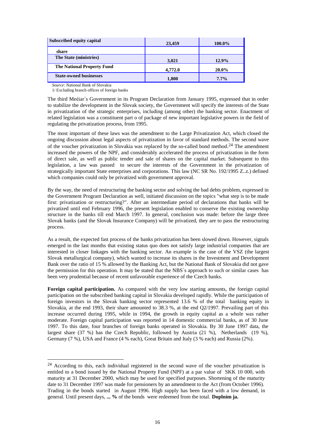| <b>Subscribed equity capital</b>  | 23,459  | 100.0% |
|-----------------------------------|---------|--------|
| share                             |         |        |
| The State (ministries)            | 3,021   | 12.9%  |
| <b>The National Property Fund</b> | 4,772.0 | 20.0%  |
| <b>State-owned businesses</b>     | 1,800   | 7.7%   |

*Source*: National Bank of Slovakia

l

1/ Excluding branch offices of foreign banks

The third Meèiar´s Government in its Program Declaration from January 1995, expressed that in order to stabilize the development in the Slovak society, the Government will specify the interests of the State in privatization of the strategic enterprises, including (among other) the banking sector. Enactment of related legislation was a constituent part o of package of new important legislative powers in the field of regulating the privatization process, from 1995.

The most important of these laws was the amendment to the Large Privatization Act, which closed the ongoing discussion about legal aspects of privatization in favor of standard methods. The second wave of the voucher privatization in Slovakia was replaced by the so-called bond method.<sup>24</sup> The amendment increased the powers of the NPF, and considerably accelerated the process of privatization in the form of direct sale, as well as public tender and sale of shares on the capital market. Subsequent to this legislation, a law was passed to secure the interests of the Government in the privatization of strategically important State enterprises and corporations. This law (NC SR No. 192/1995 Z..z.) defined which companies could only be privatized with government approval.

By the way, the need of restructuring the banking sector and solving the bad debts problem, expressed in the Government Program Declaration as well, initiated discussion on the topics "what step is to be made first: privatization or restructuring?". After an intermediate period of declarations that banks will be privatized until end February 1996, the present legislation enabled to conserve the existing ownership structure in the banks till end March 1997. In general, conclusion was made: before the large three Slovak banks (and the Slovak Insurance Company) will be privatized, they are to pass the restructuring process.

As a result, the expected fast process of the banks privatization has been slowed down. However, signals emerged in the last months that existing status quo does not satisfy large industrial companies that are interested in closer linkages with the banking sector. An example is the case of the VSZ (the largest Slovak metallurgical company), which wanted to increase its shares in the Investment and Development Bank over the ratio of 15 % allowed by the Banking Act, but the National Bank of Slovakia did not gave the permission for this operation. It may be stated that the NBS´s approach to such or similar cases has been very prudential because of recent unfavorable experience of the Czech banks.

**Foreign capital participation.** As compared with the very low starting amounts, the foreign capital participation on the subscribed banking capital in Slovakia developed rapidly. While the participation of foreign investors in the Slovak banking sector represented 13.6 % of the total banking equity in Slovakia, at the end 1993, their share amounted to 38.3 %, at the end Q2/1997. Prevailing part of this increase occurred during 1995, while in 1994, the growth in equity capital as a whole was rather moderate. Foreign capital participation was reported in 14 domestic commercial banks, as of 30 June 1997. To this date, four branches of foreign banks operated in Slovakia. By 30 June 1997 data, the largest share (37 %) has the Czech Republic, followed by Austria (21 %), Netherlands (19 %), Germany (7 %), USA and France (4 % each), Great Britain and Italy (3 % each) and Russia (2%).

 $24$  According to this, each individual registered in the second wave of the voucher privatization is entitled to a bond issued by the National Property Fund (NPF) at a par value of SKK 10 000, with maturity at 31 December 2000, which may be used for specified purposes. Shortening of the maturity date to 31 December 1997 was made for pensioners by an amendment to the Act (from October 1996). Trading in the bonds started in August 1996. High supply has been faced with a low demand, in general. Until present days, **... %** of the bonds were redeemed from the total. **Doplním ja.**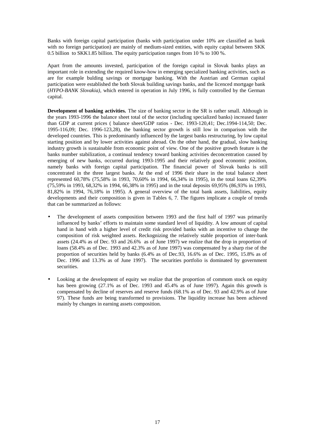Banks with foreign capital participation (banks with participation under 10% are classified as bank with no foreign participation) are mainly of medium-sized entities, with equity capital between SKK 0.5 billion to SKK1.85 billion. The equity participation ranges from 10 % to 100 %.

Apart from the amounts invested, participation of the foreign capital in Slovak banks plays an important role in extending the required know-how in emerging specialized banking activities, such as are for example bulding savings or mortgage banking. With the Austrian and German capital participation were established the both Slovak building savings banks, and the licenced mortgage bank (*HYPO-BANK Slovakia)*, which entered in operation in July 1996, is fully controlled by the German capital.

**Development of banking activities.** The size of banking sector in the SR is rather small. Although in the years 1993-1996 the balance sheet total of the sector (including specialized banks) increased faster than GDP at current prices ( balance sheet/GDP ratios - Dec. 1993-120,41; Dec.1994-114,50; Dec. 1995-116,09; Dec. 1996-123,28), the banking sector growth is still low in comparison with the developed countries. This is predominantly influenced by the largest banks restructuring, by low capital starting position and by lower activities against abroad. On the other hand, the gradual, slow banking industry growth is sustainable from economic point of view. One of the positive growth feature is the banks number stabilization, a continual tendency toward banking activities deconcentration caused by emerging of new banks, occurred during 1993-1995 and their relatively good economic position, namely banks with foreign capital participation. The financial power of Slovak banks is still concentrated in the three largest banks. At the end of 1996 their share in the total balance sheet represented 60,78% (75,58% in 1993, 70,60% in 1994, 66,34% in 1995), in the total loans 62,39% (75,59% in 1993, 68,32% in 1994, 66,38% in 1995) and in the total deposits 69,95% (86,93% in 1993, 81,82% in 1994, 76,18% in 1995). A general overview of the total bank assets, liabilities, equity developments and their composition is given in Tables 6, 7. The figures implicate a couple of trends that can be summarized as follows:

- The development of assets composition between 1993 and the first half of 1997 was primarily influenced by banks' efforts to maintain some standard level of liquidity. A low amount of capital hand in hand with a higher level of credit risk provided banks with an incentive to change the composition of risk weighted assets. Reckognizing the relatively stable proportion of inter-bank assets (24.4% as of Dec. 93 and 26.6% as of June 1997) we realize that the drop in proportion of loans (58.4% as of Dec. 1993 and 42.3% as of June 1997) was compensated by a sharp rise of the proportion of securities held by banks (6.4% as of Dec.93, 16.6% as of Dec. 1995, 15.8% as of Dec. 1996 and 13.3% as of June 1997). The securities portfolio is dominated by government securities.
- Looking at the development of equity we realize that the proportion of commom stock on equity has been growing  $(27.1\%$  as of Dec. 1993 and 45.4% as of June 1997). Again this growth is compensated by decline of reserves and reserve funds (68.1% as of Dec. 93 and 42.9% as of June 97). These funds are being transformed to provisions. The liquidity increase has been achieved mainly by changes in earning assets composition.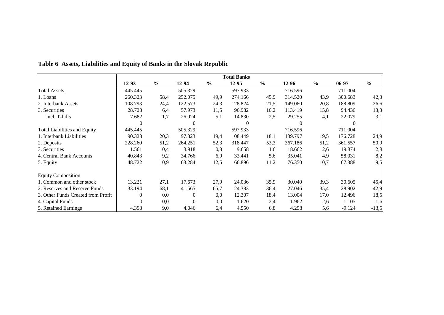|                                     | <b>Total Banks</b> |               |                |               |          |               |          |               |          |               |
|-------------------------------------|--------------------|---------------|----------------|---------------|----------|---------------|----------|---------------|----------|---------------|
|                                     | $12-93$            | $\frac{6}{9}$ | 12-94          | $\frac{6}{6}$ | 12-95    | $\frac{6}{6}$ | 12-96    | $\frac{6}{6}$ | 06-97    | $\frac{6}{6}$ |
| <b>Total Assets</b>                 | 445.445            |               | 505.329        |               | 597.933  |               | 716.596  |               | 711.004  |               |
| 1. Loans                            | 260.323            | 58,4          | 252.075        | 49,9          | 274.166  | 45,9          | 314.520  | 43,9          | 300.683  | 42,3          |
| 2. Interbank Assets                 | 108.793            | 24,4          | 122.573        | 24,3          | 128.824  | 21,5          | 149.060  | 20,8          | 188.809  | 26,6          |
| 3. Securities                       | 28.728             | 6,4           | 57.973         | 11,5          | 96.982   | 16,2          | 113.419  | 15,8          | 94.436   | 13,3          |
| incl. T-bills                       | 7.682              | 1,7           | 26.024         | 5,1           | 14.830   | 2,5           | 29.255   | 4,1           | 22.079   | 3,1           |
|                                     | $\theta$           |               | $\Omega$       |               | $\Omega$ |               | $\Omega$ |               | $\theta$ |               |
| <b>Total Liabilities and Equity</b> | 445.445            |               | 505.329        |               | 597.933  |               | 716.596  |               | 711.004  |               |
| 1. Interbank Liabilities            | 90.328             | 20,3          | 97.823         | 19,4          | 108.449  | 18,1          | 139.797  | 19,5          | 176.728  | 24,9          |
| 2. Deposits                         | 228.260            | 51,2          | 264.251        | 52,3          | 318.447  | 53,3          | 367.186  | 51,2          | 361.557  | 50,9          |
| 3. Securities                       | 1.561              | 0,4           | 3.918          | 0,8           | 9.658    | 1.6           | 18.662   | 2,6           | 19.874   | 2,8           |
| 4. Central Bank Accounts            | 40.843             | 9,2           | 34.766         | 6,9           | 33.441   | 5,6           | 35.041   | 4,9           | 58.031   | 8,2           |
| 5. Equity                           | 48.722             | 10,9          | 63.284         | 12,5          | 66.896   | 11,2          | 76.350   | 10,7          | 67.388   | 9,5           |
| <b>Equity Composition</b>           |                    |               |                |               |          |               |          |               |          |               |
| 1. Common and other stock           | 13.221             | 27,1          | 17.673         | 27,9          | 24.036   | 35,9          | 30.040   | 39,3          | 30.605   | 45,4          |
| 2. Reserves and Reserve Funds       | 33.194             | 68,1          | 41.565         | 65,7          | 24.383   | 36,4          | 27.046   | 35,4          | 28.902   | 42,9          |
| 3. Other Funds Created from Profit  | $\boldsymbol{0}$   | 0,0           | $\overline{0}$ | 0,0           | 12.307   | 18,4          | 13.004   | 17,0          | 12.496   | 18,5          |
| 4. Capital Funds                    | $\boldsymbol{0}$   | 0,0           | $\mathbf{0}$   | 0,0           | 1.620    | 2,4           | 1.962    | 2,6           | 1.105    | 1,6           |
| 5. Retained Earnings                | 4.398              | 9,0           | 4.046          | 6,4           | 4.550    | 6,8           | 4.298    | 5,6           | $-9.124$ | $-13,5$       |

# **Table 6 Assets, Liabilities and Equity of Banks in the Slovak Republic**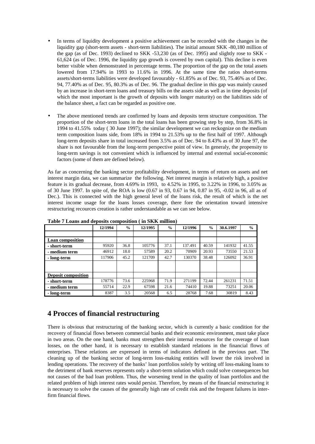- In terms of liquidity development a positive achievement can be recorded with the changes in the liquidity gap (short-term assets - short-term liabilities). The initial amount SKK -80,180 million of the gap (as of Dec. 1993) declined to SKK -53,230 (as of Dec. 1995) and slightly rose to SKK - 61,624 (as of Dec. 1996, the liquidity gap growth is covered by own capital). This decline is even better visible when demonstrated in percentage terms. The proportion of the gap on the total assets lowered from 17.94% in 1993 to 11.6% in 1996. At the same time the ratios short-terms assets/short-terms liabilities were developed favourably - 61.85% as of Dec. 93, 75.46% as of Dec. 94, 77.40% as of Dec. 95, 80.3% as of Dec. 96. The gradual decline in this gap was mainly caused by an increase in short-term loans and treasury bills on the assets side as well as in time deposits (of which the most important is the growth of deposits with longer maturity) on the liabilities side of the balance sheet, a fact can be regarded as positive one.
- The above mentioned trends are confirmed by loans and deposits term structure composition. The proportion of the short-term loans in the total loans has been growing step by step, from 36.8% in 1994 to 41.55% today ( 30 June 1997); the similar development we can reckognize on the medium term composition loans side, from 18% in 1994 to 21.53% up to the first half of 1997. Although long-term deposits share in total increased from 3.5% as of Dec. 94 to 8.43% as of 30 June 97, the share is not favourable from the long-term perspective point of view. In generaly, the propensity to long-term savings is not convenient which is influenced by internal and external social-economic factors (some of them are defined below).

As far as concerning the banking sector profitability development, in terms of return on assets and net interest margin data, we can summarize the following. Net interest margin is relatively high, a positive feature is its gradual decrease, from 4.69% in 1993, to 4.52% in 1995, to 3.22% in 1996, to 3.05% as of 30 June 1997. In spite of, the ROA is low (0.67 in 93, 0.67 in 94, 0.87 in 95, -0.02 in 96, all as of Dec.). This is connected with the high general level of the loans risk, the result of which is the net interest income usage for the loans losses coverage, there fore the orientation toward intensive restructuring recources creation is rather understandable as we can see below.

|                            | 12/1994 | $\frac{6}{6}$ | 12/1995 | $\frac{0}{0}$ | 12/1996 | $\frac{6}{9}$ | 30.6.1997 | $\frac{0}{0}$ |
|----------------------------|---------|---------------|---------|---------------|---------|---------------|-----------|---------------|
|                            |         |               |         |               |         |               |           |               |
| <b>Loan composition</b>    |         |               |         |               |         |               |           |               |
| - short-term               | 95920   | 36.8          | 105776  | 37.1          | 137.491 | 40.59         | 141932    | 41.55         |
| - medium term              | 46912   | 18.0          | 57589   | 20.2          | 70909   | 20.93         | 73550     | 21.53         |
| - long-term                | 117906  | 45.2          | 121709  | 42.7          | 130370  | 38.48         | 126092    | 36.91         |
|                            |         |               |         |               |         |               |           |               |
|                            |         |               |         |               |         |               |           |               |
| <b>Deposit composition</b> |         |               |         |               |         |               |           |               |
| - short-term               | 178776  | 73.6          | 225968  | 71.9          | 271199  | 72.44         | 261231    | 71.51         |
| - medium term              | 55714   | 22.9          | 67598   | 21.6          | 74410   | 19.88         | 73251     | 20.06         |
| - long-term                | 8387    | 3.5           | 20568   | 6.5           | 28768   | 7.68          | 30819     | 8.43          |

**Table 7 Loans and deposits composition ( in SKK million)** 

## **4 Procces of financial restructuring**

There is obvious that restructuring of the banking sector, which is currently a basic condition for the recovery of financial flows between commercial banks and their economic environment, must take place in two areas. On the one hand, banks must strengthen their internal resources for the coverage of loan losses, on the other hand, it is necessary to establish standard relations in the financial flows of enterprises. These relations are expressed in terms of indicators defined in the previous part. The cleaning up of the banking sector of long-term loss-making entities will lower the risk involved in lending operations. The recovery of the banks' loan portfolios solely by writing off loss-making loans to the detriment of bank reserves represents only a short-term solution which could solve consequences but not causes of the bad loan problem. Thus, the worsening trend in the quality of loan portfolios and the related problem of high interest rates would persist. Therefore, by means of the financial restructuring it is necessary to solve the causes of the generally high rate of credit risk and the frequent failures in interfirm financial flows.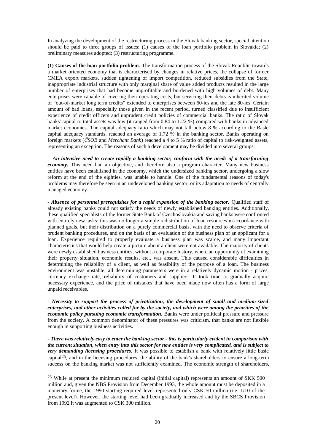In analyzing the development of the restructuring process in the Slovak banking sector, special attention should be paid to three groups of issues: (1) causes of the loan portfolio problem in Slovakia; (2) preliminary measures adopted; (3) restructuring programme.

**(1) Causes of the loan portfolio problem.** The transformation process of the Slovak Republic towards a market oriented economy that is characterised by changes in relative prices, the collapse of former CMEA export markets, sudden tightening of import competition, reduced subsidies from the State, inappropriate industrial structure with only marginal share of value added products resulted in the large number of enterprises that had become unprofitable and burdened with high volumes of debt. Many enterprises were capable of covering their operating costs, but servicing their debts is inherited volume of "out-of-market long term credits" extended to enterprises between 60-ies and the late 80-ies. Certain amount of bad loans, especially those given in the recent period, turned classified due to insufficient experience of credit officers and unprudent credit policies of commercial banks. The ratio of Slovak banks'capital to total assets was low (it ranged from 0.84 to 1.22 %) compared with banks in advanced market economies. The capital adequacy ratio which may not fall below 8 % according to the Basle capital adequacy standards, reached an average of 1.72 % in the banking sector. Banks operating on foreign markets (*ČSOB* and *Merchant Bank*) reached a 4 to 5 % ratio of capital to risk-weighted assets, representing an exception. The reasons of such a development may be divided into several groups:

 *- An intensive need to create rapidly a banking sector, conform with the needs of a transforming economy*. This need had an objective, and therefore also a program character. Many new business entities have been established in the economy, which the undersized banking sector, undergoing a slow reform at the end of the eighties, was unable to handle. One of the fundamental reasons of today's problems may therefore be seen in an undeveloped banking sector, or its adaptation to needs of centrally managed economy.

*- Absence of personnel prerequisites for a rapid expansion of the banking sector.* Qualified staff of already existing banks could not satisfy the needs of newly established banking entities. Additionally, these qualified specialists of the former State Bank of Czechoslovakia and saving banks were confronted with entirely new tasks: this was no longer a simple redistribution of loan resources in accordance with planned goals, but their distribution on a purely commercial basis, with the need to observe criteria of prudent banking procedures, and on the basis of an evaluation of the business plan of an applicant for a loan. Experience required to properly evaluate a business plan was scarce, and many important characteristics that would help create a picture about a client were not available. The majority of clients were newly established business entities, without a corporate history, where an opportunity of examining their property situation, economic results, etc., was absent. This caused considerable difficulties in determining the reliability of a client, as well as feasibility of the purpose of a loan. The business environment was unstable; all determining parameters were in a relatively dynamic motion - prices, currency exchange rate, reliability of customers and suppliers. It took time to gradually acquire necessary experience, and the price of mistakes that have been made now often has a form of large unpaid receivables.

*- Necessity to support the process of privatization, the development of small and medium-sized enterprises, and other activities called for by the society, and which were among the priorities of the economic policy pursuing economic transformation.* Banks were under political pressure and pressure from the society. A common denominator of these pressures was criticism, that banks are not flexible enough in supporting business activities.

*- There was relatively easy to enter the banking sector - this is particularly evident in comparison with*  the current situation, when entry into this sector for new entities is very complicated, and is subject to *very demanding licensing procedures.* It was possible to establish a bank with relatively little basic capital25, and in the licensing procedures, the ability of the bank's shareholders to ensure a long-term success on the banking market was not sufficiently examined. The economic strength of shareholders,

l

<sup>25</sup> While at present the minimum required capital (initial capital) represents an amount of SKK 500 million and, given the NBS Provision from December 1993, the whole amount must be deposited in a monetary forme, the 1990 starting required level represented only CSK 50 million (i.e. 1/10 of the present level). However, the starting level had been gradually increased and by the SBCS Provision from 1992 it was augmented to CSK 300 million.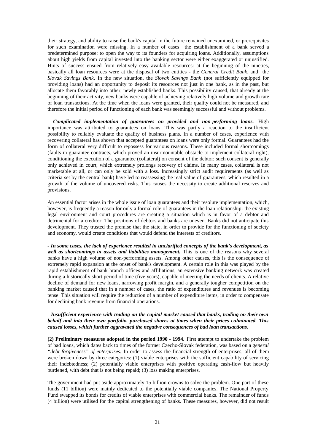their strategy, and ability to raise the bank's capital in the future remained unexamined, or prerequisites for such examination were missing. In a number of cases the establishment of a bank served a predetermined purpose: to open the way to its founders for acquiring loans. Additionally, assumptions about high yields from capital invested into the banking sector were either exaggerated or unjustified. Hints of success ensued from relatively easy available resources: at the beginning of the nineties, basically all loan resources were at the disposal of two entities - the *General Credit Bank*, and the *Slovak Savings Bank*. In the new situation, the *Slovak Savings Bank* (not sufficiently equipped for providing loans) had an opportunity to deposit its resources not just in one bank, as in the past, but allocate them favorably into other, newly established banks. This possibility caused, that already at the beginning of their activity, new banks were capable of achieving relatively high volume and growth rate of loan transactions. At the time when the loans were granted, their quality could not be measured, and therefore the initial period of functioning of each bank was seemingly successful and without problems.

*- Complicated implementation of guarantees on provided and non-performing loans.* High importance was attributed to guarantees on loans. This was partly a reaction to the insufficient possibility to reliably evaluate the quality of business plans. In a number of cases, experience with recovering collateral has shown that accepted guarantees on loans were only formal. Guarantees had the form of collateral very difficult to repossess for various reasons. These included formal shortcomings (faults in guarantee contracts, which proved an insurmountable obstacle to implement collateral right), conditioning the execution of a guarantee (collateral) on consent of the debtor; such consent is generally only achieved in court, which extremely prolongs recovery of claims. In many cases, collateral is not marketable at all, or can only be sold with a loss. Increasingly strict audit requirements (as well as criteria set by the central bank) have led to reassessing the real value of guarantees, which resulted in a growth of the volume of uncovered risks. This causes the necessity to create additional reserves and provisions.

An essential factor arises in the whole issue of loan guarantees and their resolute implementation, which, however, is frequently a reason for only a formal role of guarantees in the loan relationship: the existing legal environment and court procedures are creating a situation which is in favor of a debtor and detrimental for a creditor. The positions of debtors and banks are uneven. Banks did not anticipate this development. They trusted the premise that the state, in order to provide for the functioning of society and economy, would create conditions that would defend the interests of creditors.

*- In some cases, the lack of experience resulted in unclarified concepts of the bank's development, as well as shortcomings in assets and liabilities management.* This is one of the reasons why several banks have a high volume of non-performing assets. Among other causes, this is the consequence of extremely rapid expansion at the onset of bank's development. A certain role in this was played by the rapid establishment of bank branch offices and affiliations, an extensive banking network was created during a historically short period of time (five years), capable of meeting the needs of clients. A relative decline of demand for new loans, narrowing profit margin, and a generally tougher competition on the banking market caused that in a number of cases, the ratio of expenditures and revenues is becoming tense. This situation will require the reduction of a number of expenditure items, in order to compensate for declining bank revenue from financial operations.

#### *- Insufficient experience with trading on the capital market caused that banks, trading on their own behalf and into their own portfolio, purchased shares at times when their prices culminated. This caused losses, which further aggravated the negative consequences of bad loan transactions.*

**(2) Preliminary measures adopted in the period 1990 - 1994.** First attempt to undertake the problem of bad loans, which dates back to times of the former Czecho-Slovak federation, was based on a g*eneral "debt forgiveness" of enterprises.* In order to assess the financial strength of enterprises, all of them were broken down by three categories: (1) viable enterprises with the sufficient capability of servicing their indebtedness; (2) potentially viable enterprises with positive operating cash-flow but heavily burdened, with debt that is not being repaid; (3) loss making enterprises.

The government had put aside approximately 15 billion crowns to solve the problem. One part of these funds (11 billion) were mainly dedicated to the potentially viable companies. The National Property Fund swapped its bonds for credits of viable enterprises with commercial banks. The remainder of funds (4 billion) were utilised for the capital strengthening of banks. These measures, however, did not result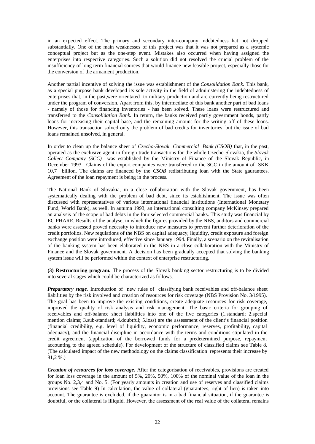in an expected effect. The primary and secondary inter-company indebtedness hat not dropped substantially. One of the main weaknesses of this project was that it was not prepared as a systemic conceptual project but as the one-step event. Mistakes also occurred when having assigned the enterprises into respective categories. Such a solution did not resolved the crucial problem of the insufficiency of long term financial sources that would finance new feasible project, especially those for the conversion of the armament production.

Another partial incentive of solving the issue was establishment of the *Consolidation Bank.* This bank, as a special purpose bank developed its sole activity in the field of administering the indebtedness of enterprises that, in the past,were orientated to military production and are currently being restructured under the program of conversion. Apart from this, by intermediate of this bank another part of bad loans - namely of those for financing inventories - has been solved. These loans were restructured and transferred to the *Consolidation Bank.* In return, the banks received partly government bonds, partly loans for increasing their capital base, and the remaining amount for the writing off of these loans. However, this transaction solved only the problem of bad credits for inventories, but the issue of bad loans remained unsolved, in general.

In order to clean up the balance sheet of *Czecho-Slovak Commercial Bank (CSOB)* that, in the past, operated as the exclusive agent in foreign trade transactions for the whole Czecho-Slovakia, the *Slovak Collect Company (SCC)* was established by the Ministry of Finance of the Slovak Republic, in December 1993. Claims of the export companies were transferred to the SCC in the amount of SKK 10,7 billion. The claims are financed by the *CSOB* redistributing loan with the State gaurantees. Agreement of the loan repayment is being in the process.

The National Bank of Slovakia, in a close collaboration with the Slovak government, has been systematically dealing with the problem of bad debt, since its establishment. The issue was often discussed with representatives of various international financial institutions (International Monetary Fund, World Bank), as well. In autumn 1993, an international consulting company McKinsey prepared an analysis of the scope of bad debts in the four selected commercial banks. This study was financial by EC PHARE. Results of the analyse, in which the figures provided by the NBS, auditors and commercial banks were assessed proved necessity to introduce new measures to prevent further deterioration of the credit portfolios. New regulations of the NBS on capital adequacy, liquidity, credit exposure and foreign exchange position were introduced, effective since January 1994. Finally, a scenario on the revitalisation of the banking system has been elaborated in the NBS in a close collaboration with the Ministry of Finance and the Slovak government. A decision has been gradually accepted that solving the banking system issue will be performed within the context of enterprise restructuring.

**(3) Restructuring program.** The process of the Slovak banking sector restructuring is to be divided into several stages which could be characterized as follows.

*Preparatory stage.* Introduction of new rules of classifying bank receivables and off-balance sheet liabilities by the risk involved and creation of resources for risk coverage (NBS Provision No. 3/1995). The goal has been to improve the existing conditions, create adequate resources for risk coverage, improved the quality of risk analysis and risk management. The basic criteria for grouping of receivables and off-balance sheet liabilities into one of the five categories (1.standard; 2.special mention claims; 3.sub-standard; 4.doubtful; 5.loss) are the assessment of the client's financial position (financial credibility, e.g. level of liquidity, economic performance, reserves, profitability, capital adequacy), and the financial discipline in accordance with the terms and conditions stipulated in the credit agreement (application of the borrowed funds for a predetermined purpose, repayment accounting to the agreed schedule). For development of the structure of classified claims see Table 8. (The calculated impact of the new methodology on the claims classification represents their increase by 81,2 %.)

*Creation of resources for loss coverage.* After the categorisation of receivables, provisions are created for loan loss coverage in the amount of 5%, 20%, 50%, 100% of the nominal value of the loan in the groups No. 2,3,4 and No. 5. (For yearly amounts in creation and use of reserves and classified claims provisions see Table 9) In calculation, the value of collateral (guarantees, right of lien) is taken into account. The guarantee is excluded, if the guarantor is in a bad financial situation, if the guarantee is doubtful, or the collateral is illiquid. However, the assessment of the real value of the collateral remains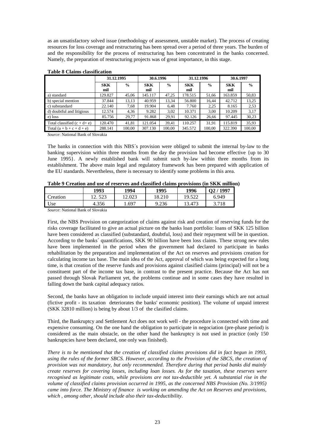as an unsatisfactory solved issue (methodology of assessment, unstable market). The process of creating resources for loss coverage and restructuring has been spread over a period of three years. The burden of and the responsibility for the process of restructuring has been concentrated in the banks concerned. Namely, the preparation of restructuring projects was of great importance, in this stage.

|                                | 31.12.1995        |               | 30.6.1996         |               | 31.12.1996        |               | 30.6.1997         |               |
|--------------------------------|-------------------|---------------|-------------------|---------------|-------------------|---------------|-------------------|---------------|
|                                | <b>SKK</b><br>mil | $\frac{0}{0}$ | <b>SKK</b><br>mil | $\frac{0}{0}$ | <b>SKK</b><br>mil | $\frac{0}{0}$ | <b>SKK</b><br>mil | $\frac{0}{0}$ |
| a) standard                    | 129.827           | 45.06         | 145.117           | 47.25         | 178.515           | 51,66         | 163.859           | 50,83         |
| b) special mention             | 37.844            | 13,13         | 40.959            | 13,34         | 56.800            | 16.44         | 42.712            | 13,25         |
| c) substandard                 | 22.140            | 7.68          | 19.904            | 6.48          | 7.760             | 2,25          | 8.165             | 2,53          |
| d) doubtful and litigious      | 12.574            | 4,36          | 9.282             | 3,02          | 10.371            | 3.00          | 10.209            | 3,17          |
| e) loss                        | 85.756            | 29.77         | 91.868            | 29,91         | 92.126            | 26,66         | 97.445            | 30,23         |
| Total classified $(c + d + e)$ | 120.470           | 41,81         | 121.054           | 39.41         | 110.257           | 31,91         | 115.819           | 35,93         |
| Total $(a + b + c + d + e)$    | 288.141           | 100,00        | 307.130           | 100,00        | 345.572           | 100,00        | 322.390           | 100,00        |

#### **Table 8 Claims classification**

*Source*: National Bank of Slovakia

The banks in connection with this NBS´s provision were obliged to submit the internal by-law to the banking supervision within three months from the day the provision had become effective {up to 30 June 1995}. A newly established bank will submit such by-law within three months from its establishment. The above main legal and regulatory framework has been prepared with application of the EU standards. Nevertheless, there is necessary to identify some problems in this area.

| Table 9 Creation and use of reserves and classified claims provisions (in SKK minion |         |        |        |        |         |  |
|--------------------------------------------------------------------------------------|---------|--------|--------|--------|---------|--|
|                                                                                      | 1993    | 1994   | 1995   | 1996   | Q2/1997 |  |
| Creation                                                                             | 12. 523 | '2.023 | 18.210 | 19.522 | 6.949   |  |

Use | 4.356 | 1.697 | 9.236 | 13.473 | 3.718

| Table 9 Creation and use of reserves and classified claims provisions (in SKK million) |  |  |
|----------------------------------------------------------------------------------------|--|--|
|----------------------------------------------------------------------------------------|--|--|

*Source*: National Bank of Slovakia

First, the NBS Provision on categorization of claims against risk and creation of reserving funds for the risks coverage facilitated to give an actual picture on the banks loan portfolio: loans of SKK 125 billion have been considered as classified (substandard, doubtful, loss) and their repayment will be in question. According to the banks´ quantifications, SKK 90 billion have been loss claims. These strong new rules have been implemented in the period when the government had declared to participate in banks rehabilitation by the preparation and implementation of the Act on reserves and provisions creation for calculating income tax base. The main idea of the Act, approval of which was being expected for a long time, is that creation of the reserve funds and provisions against clasified claims (principal) will not be a constituent part of the income tax base, in contrast to the present practice. Because the Act has not passed through Slovak Parliament yet, the problems continue and in some cases they have resulted in falling down the bank capital adequacy ratios.

Second, the banks have an obligation to include unpaid interest into their earnings which are not actual (fictive profit - its taxation deteriorates the banks' economic position). The volume of unpaid interest (SKK 32810 million) is being by about 1/3 of the clasified claims.

Third, the Bankruptcy and Settlement Act does not work well - the procedure is connected with time and expensive consuming. On the one hand the obligation to participate in negociation (pre-phase period) is considered as the main obstacle, on the other hand the bankruptcy is not used in practice (only 150 bankruptcies have been declared, one only was finished).

There is to be mentioned that the creation of classified claims provisions did in fact begun in 1993, using the rules of the former SBCS. However, according to the Provision of the SBCS, the creation of *provision was not mandatory, but only recommended. Therefore during that period banks did mainly create reserves for covering losses, including loan losses. As for the taxation, these reserves were recognised as legitimate costs, while provisions are not tax-deductible yet. A substantial rise in the volume of classified claims provision occurred in 1995, as the concerned NBS Provision (No. 3/1995) came into force. The Ministry of finance is working on amending the Act on Reserves and provisions, which , among other, should include also their tax-deductibility.*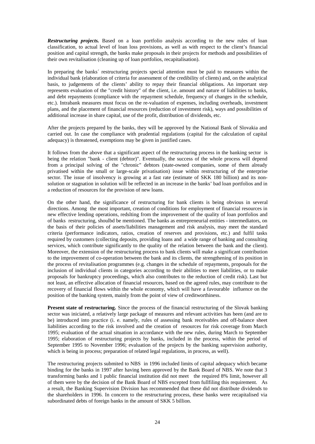**Restructuring projects.** Based on a loan portfolio analysis according to the new rules of loan classification, to actual level of loan loss provisions, as well as with respect to the client's financial position and capital strength, the banks make proposals in their projects for methods and possibilities of their own revitalisation (cleaning up of loan portfolios, recapitalisation).

In preparing the banks´ restructuring projects special attention must be paid to measures within the individual bank (elaboration of criteria for assessment of the credibility of clients) and, on the analytical basis, to judgements of the clients' ability to repay their financial obligations. An important step represents evaluation of the "credit history" of the client, i.e. amount and nature of liabilities to banks, and debt repayments (compliance with the repayment schedule, frequency of changes in the schedule, etc.). Intrabank measures must focus on the re-valuation of expenses, including overheads, investment plans, and the placement of financial resources (reduction of investment risk), ways and possibilities of additional increase in share capital, use of the profit, distribution of dividends, etc.

After the projects prepared by the banks, they will be approved by the National Bank of Slovakia and carried out. In case the compliance with prudential regulations (capital for the calculation of capital adequacy) is threatened, exemptions may be given in justified cases.

It follows from the above that a significant aspect of the restructuring process in the banking sector is being the relation "bank - client (debtor)". Eventually, the success of the whole process will depend from a principal solving of the "chronic" debtors (state-owned companies, some of them already privatised within the small or large-scale privatisation) issue within restructuring of the enterprise sector. The issue of insolvency is growing at a fast rate (estimate of SKK 180 billion) and its nonsolution or stagnation in solution will be reflected in an increase in the banks' bad loan portfolios and in a reduction of resources for the provision of new loans.

On the other hand, the significance of restructuring for bank clients is being obvious in several directions. Among the most important, creation of conditions for employment of financial resources in new effective lending operations, redslting from the improvement of the quality of loan portfolios and of banks restructuring, shoulbd be mentioned. The banks as entrepreneurial entities - intermediators, on the basis of their policies of assets/liabilities management and risk analysis, may meet the standard criteria (performance indicators, ratios, creation of reserves and provisions, etc.) and fulfil tasks required by customers (collecting deposits, providing loans and a wide range of banking and consulting services, which contribute significantly to the quality of the relation between the bank and the client). Moreover, the extension of the restructuring process to bank clients will make a significant contribution to the improvement of co-operation between the bank and its clients, the strengthening of its position in the process of revitalisation programmes (e.g. changes in the schedule of repayments, proposals for the inclusion of individual clients in categories according to their abilities to meet liabilities, or to make proposals for bankruptcy proceedings, which also contributes to the reduction of credit risk). Last but not least, an effective allocation of financial resources, based on the agreed rules, may contribute to the recovery of financial flows within the whole economy, which will have a favourable influence on the position of the banking system, mainly from the point of view of creditworthiness.

**Present state of restructuring.** Since the process of the financial restructuring of the Slovak banking sector was iniciated, a relatively large package of measures and relevant activities has been (and are to be) introduced into practice (i. e. namely, rules of assessing bank receivables and off-balance sheet liabilities according to the risk involved and the creation of resources for risk coverage from March 1995; evaluation of the actual situation in accordance with the new rules, during March to September 1995; elaboration of restructuring projects by banks, included in the process, within the period of September 1995 to November 1996; evaluation of the projects by the banking supervision authority, which is being in process; preparation of related legal regulations, in process, as well).

The restructuring projects submited to NBS in 1996 included limits of capital adequacy which became binding for the banks in 1997 after having been approved by the Bank Board of NBS. We note that 3 transforming banks and 1 public financial institution did not meet the required 8% limit, however all of them were by the decision of the Bank Board of NBS excepted from fullfiling this requirement. As a result, the Banking Supervision Division has recommended that these did not distribute dividends to the shareholders in 1996. In concern to the restructuring process, these banks were recapitalised via subordinated debts of foreign banks in the amount of SKK 5 billion.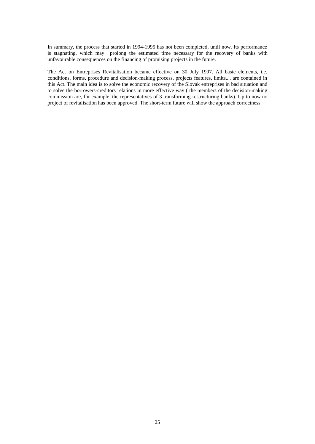In summary, the process that started in 1994-1995 has not been completed, until now. Its performance is stagnating, which may prolong the estimated time necessary for the recovery of banks with unfavourable consequences on the financing of promising projects in the future.

The Act on Entreprises Revitalisation became effective on 30 July 1997. All basic elements, i.e. conditions, forms, procedure and decision-making process, projects features, limits,... are contained in this Act. The main idea is to solve the economic recovery of the Slovak entreprises in bad situation and to solve the borrowers-creditors relations in more effective way ( the members of the decision-making commission are, for example, the representatives of 3 transforming-restructuring banks). Up to now no project of revitalisation has been approved. The short-term future will show the approach correctness.